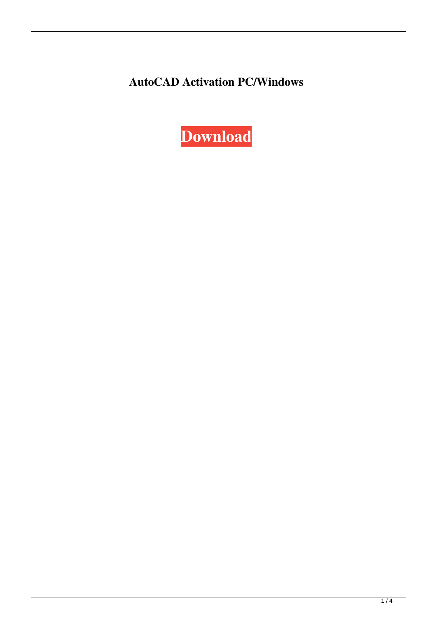**AutoCAD Activation PC/Windows**

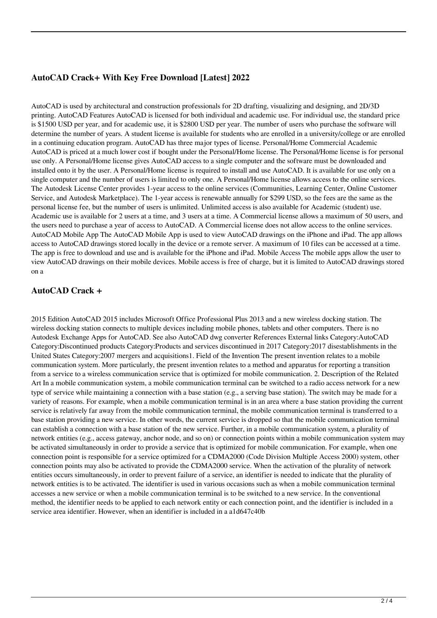## **AutoCAD Crack+ With Key Free Download [Latest] 2022**

AutoCAD is used by architectural and construction professionals for 2D drafting, visualizing and designing, and 2D/3D printing. AutoCAD Features AutoCAD is licensed for both individual and academic use. For individual use, the standard price is \$1500 USD per year, and for academic use, it is \$2800 USD per year. The number of users who purchase the software will determine the number of years. A student license is available for students who are enrolled in a university/college or are enrolled in a continuing education program. AutoCAD has three major types of license. Personal/Home Commercial Academic AutoCAD is priced at a much lower cost if bought under the Personal/Home license. The Personal/Home license is for personal use only. A Personal/Home license gives AutoCAD access to a single computer and the software must be downloaded and installed onto it by the user. A Personal/Home license is required to install and use AutoCAD. It is available for use only on a single computer and the number of users is limited to only one. A Personal/Home license allows access to the online services. The Autodesk License Center provides 1-year access to the online services (Communities, Learning Center, Online Customer Service, and Autodesk Marketplace). The 1-year access is renewable annually for \$299 USD, so the fees are the same as the personal license fee, but the number of users is unlimited. Unlimited access is also available for Academic (student) use. Academic use is available for 2 users at a time, and 3 users at a time. A Commercial license allows a maximum of 50 users, and the users need to purchase a year of access to AutoCAD. A Commercial license does not allow access to the online services. AutoCAD Mobile App The AutoCAD Mobile App is used to view AutoCAD drawings on the iPhone and iPad. The app allows access to AutoCAD drawings stored locally in the device or a remote server. A maximum of 10 files can be accessed at a time. The app is free to download and use and is available for the iPhone and iPad. Mobile Access The mobile apps allow the user to view AutoCAD drawings on their mobile devices. Mobile access is free of charge, but it is limited to AutoCAD drawings stored on a

## **AutoCAD Crack +**

2015 Edition AutoCAD 2015 includes Microsoft Office Professional Plus 2013 and a new wireless docking station. The wireless docking station connects to multiple devices including mobile phones, tablets and other computers. There is no Autodesk Exchange Apps for AutoCAD. See also AutoCAD dwg converter References External links Category:AutoCAD Category:Discontinued products Category:Products and services discontinued in 2017 Category:2017 disestablishments in the United States Category:2007 mergers and acquisitions1. Field of the Invention The present invention relates to a mobile communication system. More particularly, the present invention relates to a method and apparatus for reporting a transition from a service to a wireless communication service that is optimized for mobile communication. 2. Description of the Related Art In a mobile communication system, a mobile communication terminal can be switched to a radio access network for a new type of service while maintaining a connection with a base station (e.g., a serving base station). The switch may be made for a variety of reasons. For example, when a mobile communication terminal is in an area where a base station providing the current service is relatively far away from the mobile communication terminal, the mobile communication terminal is transferred to a base station providing a new service. In other words, the current service is dropped so that the mobile communication terminal can establish a connection with a base station of the new service. Further, in a mobile communication system, a plurality of network entities (e.g., access gateway, anchor node, and so on) or connection points within a mobile communication system may be activated simultaneously in order to provide a service that is optimized for mobile communication. For example, when one connection point is responsible for a service optimized for a CDMA2000 (Code Division Multiple Access 2000) system, other connection points may also be activated to provide the CDMA2000 service. When the activation of the plurality of network entities occurs simultaneously, in order to prevent failure of a service, an identifier is needed to indicate that the plurality of network entities is to be activated. The identifier is used in various occasions such as when a mobile communication terminal accesses a new service or when a mobile communication terminal is to be switched to a new service. In the conventional method, the identifier needs to be applied to each network entity or each connection point, and the identifier is included in a service area identifier. However, when an identifier is included in a a1d647c40b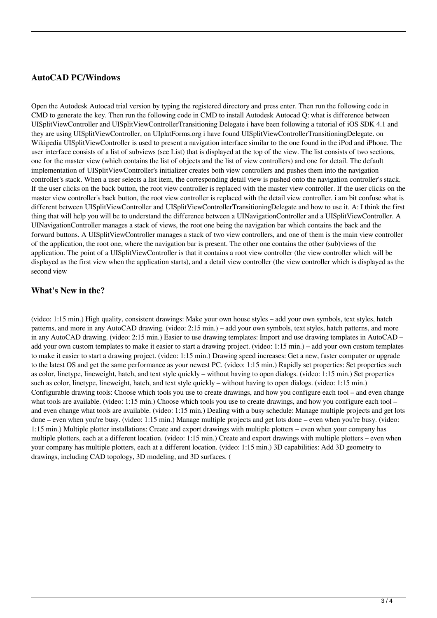### **AutoCAD PC/Windows**

Open the Autodesk Autocad trial version by typing the registered directory and press enter. Then run the following code in CMD to generate the key. Then run the following code in CMD to install Autodesk Autocad Q: what is difference between UISplitViewController and UISplitViewControllerTransitioning Delegate i have been following a tutorial of iOS SDK 4.1 and they are using UISplitViewController, on UIplatForms.org i have found UISplitViewControllerTransitioningDelegate. on Wikipedia UISplitViewController is used to present a navigation interface similar to the one found in the iPod and iPhone. The user interface consists of a list of subviews (see List) that is displayed at the top of the view. The list consists of two sections, one for the master view (which contains the list of objects and the list of view controllers) and one for detail. The default implementation of UISplitViewController's initializer creates both view controllers and pushes them into the navigation controller's stack. When a user selects a list item, the corresponding detail view is pushed onto the navigation controller's stack. If the user clicks on the back button, the root view controller is replaced with the master view controller. If the user clicks on the master view controller's back button, the root view controller is replaced with the detail view controller. i am bit confuse what is different between UISplitViewController and UISplitViewControllerTransitioningDelegate and how to use it. A: I think the first thing that will help you will be to understand the difference between a UINavigationController and a UISplitViewController. A UINavigationController manages a stack of views, the root one being the navigation bar which contains the back and the forward buttons. A UISplitViewController manages a stack of two view controllers, and one of them is the main view controller of the application, the root one, where the navigation bar is present. The other one contains the other (sub)views of the application. The point of a UISplitViewController is that it contains a root view controller (the view controller which will be displayed as the first view when the application starts), and a detail view controller (the view controller which is displayed as the second view

#### **What's New in the?**

(video: 1:15 min.) High quality, consistent drawings: Make your own house styles – add your own symbols, text styles, hatch patterns, and more in any AutoCAD drawing. (video: 2:15 min.) – add your own symbols, text styles, hatch patterns, and more in any AutoCAD drawing. (video: 2:15 min.) Easier to use drawing templates: Import and use drawing templates in AutoCAD – add your own custom templates to make it easier to start a drawing project. (video: 1:15 min.) – add your own custom templates to make it easier to start a drawing project. (video: 1:15 min.) Drawing speed increases: Get a new, faster computer or upgrade to the latest OS and get the same performance as your newest PC. (video: 1:15 min.) Rapidly set properties: Set properties such as color, linetype, lineweight, hatch, and text style quickly – without having to open dialogs. (video: 1:15 min.) Set properties such as color, linetype, lineweight, hatch, and text style quickly – without having to open dialogs. (video: 1:15 min.) Configurable drawing tools: Choose which tools you use to create drawings, and how you configure each tool – and even change what tools are available. (video: 1:15 min.) Choose which tools you use to create drawings, and how you configure each tool – and even change what tools are available. (video: 1:15 min.) Dealing with a busy schedule: Manage multiple projects and get lots done – even when you're busy. (video: 1:15 min.) Manage multiple projects and get lots done – even when you're busy. (video: 1:15 min.) Multiple plotter installations: Create and export drawings with multiple plotters – even when your company has multiple plotters, each at a different location. (video: 1:15 min.) Create and export drawings with multiple plotters – even when your company has multiple plotters, each at a different location. (video: 1:15 min.) 3D capabilities: Add 3D geometry to drawings, including CAD topology, 3D modeling, and 3D surfaces. (